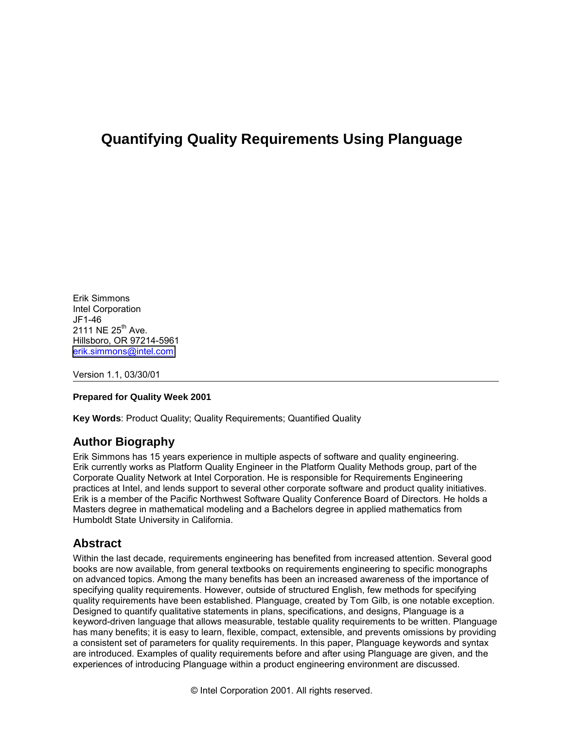# **Quantifying Quality Requirements Using Planguage**

Erik Simmons Intel Corporation JF1-46 2111 NE 25<sup>th</sup> Ave. Hillsboro, OR 97214-5961 [erik.simmons@intel.com](mailto:erik.simmons@intel.com)

Version 1.1, 03/30/01

#### **Prepared for Quality Week 2001**

**Key Words**: Product Quality; Quality Requirements; Quantified Quality

### **Author Biography**

Erik Simmons has 15 years experience in multiple aspects of software and quality engineering. Erik currently works as Platform Quality Engineer in the Platform Quality Methods group, part of the Corporate Quality Network at Intel Corporation. He is responsible for Requirements Engineering practices at Intel, and lends support to several other corporate software and product quality initiatives. Erik is a member of the Pacific Northwest Software Quality Conference Board of Directors. He holds a Masters degree in mathematical modeling and a Bachelors degree in applied mathematics from Humboldt State University in California.

### **Abstract**

Within the last decade, requirements engineering has benefited from increased attention. Several good books are now available, from general textbooks on requirements engineering to specific monographs on advanced topics. Among the many benefits has been an increased awareness of the importance of specifying quality requirements. However, outside of structured English, few methods for specifying quality requirements have been established. Planguage, created by Tom Gilb, is one notable exception. Designed to quantify qualitative statements in plans, specifications, and designs, Planguage is a keyword-driven language that allows measurable, testable quality requirements to be written. Planguage has many benefits; it is easy to learn, flexible, compact, extensible, and prevents omissions by providing a consistent set of parameters for quality requirements. In this paper, Planguage keywords and syntax are introduced. Examples of quality requirements before and after using Planguage are given, and the experiences of introducing Planguage within a product engineering environment are discussed.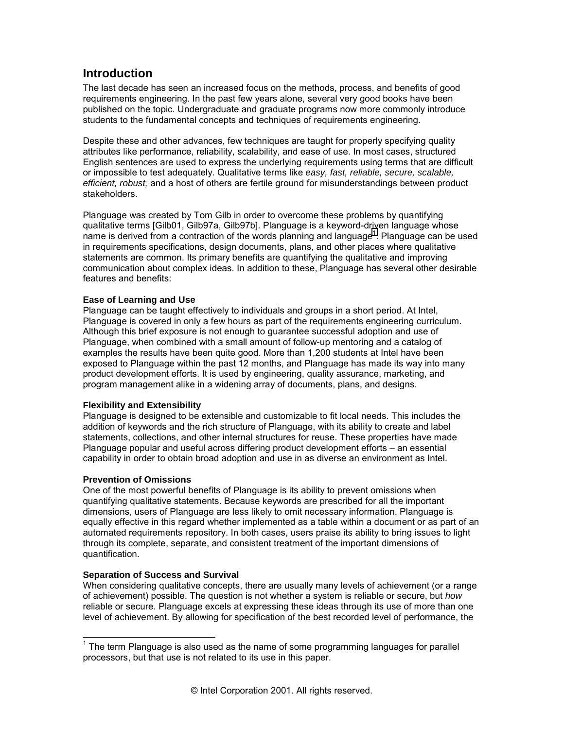# **Introduction**

The last decade has seen an increased focus on the methods, process, and benefits of good requirements engineering. In the past few years alone, several very good books have been published on the topic. Undergraduate and graduate programs now more commonly introduce students to the fundamental concepts and techniques of requirements engineering.

Despite these and other advances, few techniques are taught for properly specifying quality attributes like performance, reliability, scalability, and ease of use. In most cases, structured English sentences are used to express the underlying requirements using terms that are difficult or impossible to test adequately. Qualitative terms like *easy, fast, reliable, secure, scalable, efficient, robust,* and a host of others are fertile ground for misunderstandings between product stakeholders.

Planguage was created by Tom Gilb in order to overcome these problems by quantifying qualitative terms [Gilb01, Gilb97a, Gilb97b]. Planguage is a keyword-driven language whose name is derived from a contraction of the words planning and language<sup>1</sup>. Planguage can be used in requirements specifications, design documents, plans, and other places where qualitative statements are common. Its primary benefits are quantifying the qualitative and improving communication about complex ideas. In addition to these, Planguage has several other desirable features and benefits:

#### **Ease of Learning and Use**

Planguage can be taught effectively to individuals and groups in a short period. At Intel, Planguage is covered in only a few hours as part of the requirements engineering curriculum. Although this brief exposure is not enough to guarantee successful adoption and use of Planguage, when combined with a small amount of follow-up mentoring and a catalog of examples the results have been quite good. More than 1,200 students at Intel have been exposed to Planguage within the past 12 months, and Planguage has made its way into many product development efforts. It is used by engineering, quality assurance, marketing, and program management alike in a widening array of documents, plans, and designs.

### **Flexibility and Extensibility**

Planguage is designed to be extensible and customizable to fit local needs. This includes the addition of keywords and the rich structure of Planguage, with its ability to create and label statements, collections, and other internal structures for reuse. These properties have made Planguage popular and useful across differing product development efforts – an essential capability in order to obtain broad adoption and use in as diverse an environment as Intel.

### **Prevention of Omissions**

l

One of the most powerful benefits of Planguage is its ability to prevent omissions when quantifying qualitative statements. Because keywords are prescribed for all the important dimensions, users of Planguage are less likely to omit necessary information. Planguage is equally effective in this regard whether implemented as a table within a document or as part of an automated requirements repository. In both cases, users praise its ability to bring issues to light through its complete, separate, and consistent treatment of the important dimensions of quantification.

### **Separation of Success and Survival**

When considering qualitative concepts, there are usually many levels of achievement (or a range of achievement) possible. The question is not whether a system is reliable or secure, but *how* reliable or secure. Planguage excels at expressing these ideas through its use of more than one level of achievement. By allowing for specification of the best recorded level of performance, the

 $1$  The term Planguage is also used as the name of some programming languages for parallel processors, but that use is not related to its use in this paper.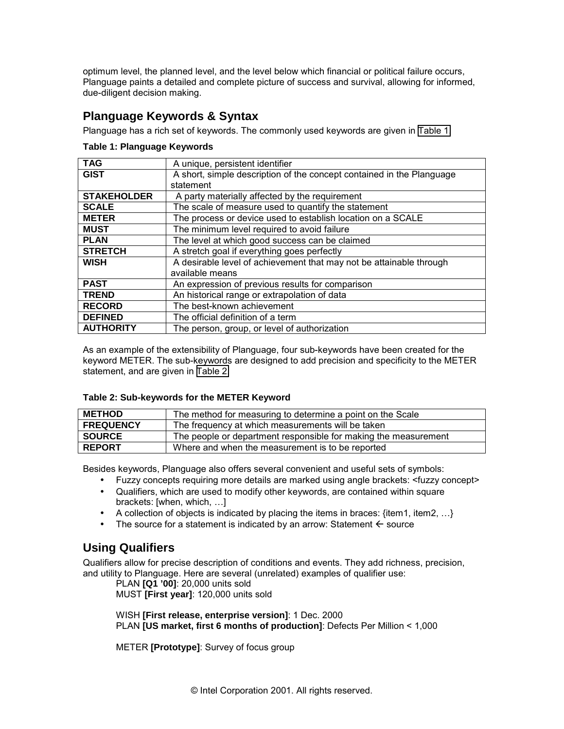optimum level, the planned level, and the level below which financial or political failure occurs, Planguage paints a detailed and complete picture of success and survival, allowing for informed, due-diligent decision making.

# **Planguage Keywords & Syntax**

Planguage has a rich set of keywords. The commonly used keywords are given in Table 1.

### **Table 1: Planguage Keywords**

| <b>TAG</b>         | A unique, persistent identifier                                       |
|--------------------|-----------------------------------------------------------------------|
| <b>GIST</b>        | A short, simple description of the concept contained in the Planguage |
|                    | statement                                                             |
| <b>STAKEHOLDER</b> | A party materially affected by the requirement                        |
| <b>SCALE</b>       | The scale of measure used to quantify the statement                   |
| <b>METER</b>       | The process or device used to establish location on a SCALE           |
| <b>MUST</b>        | The minimum level required to avoid failure                           |
| <b>PLAN</b>        | The level at which good success can be claimed                        |
| <b>STRETCH</b>     | A stretch goal if everything goes perfectly                           |
| <b>WISH</b>        | A desirable level of achievement that may not be attainable through   |
|                    | available means                                                       |
| <b>PAST</b>        | An expression of previous results for comparison                      |
| <b>TREND</b>       | An historical range or extrapolation of data                          |
| <b>RECORD</b>      | The best-known achievement                                            |
| <b>DEFINED</b>     | The official definition of a term                                     |
| <b>AUTHORITY</b>   | The person, group, or level of authorization                          |

As an example of the extensibility of Planguage, four sub-keywords have been created for the keyword METER. The sub-keywords are designed to add precision and specificity to the METER statement, and are given in Table 2.

### **Table 2: Sub-keywords for the METER Keyword**

| <b>METHOD</b>    | The method for measuring to determine a point on the Scale      |
|------------------|-----------------------------------------------------------------|
| <b>FREQUENCY</b> | The frequency at which measurements will be taken               |
| <b>SOURCE</b>    | The people or department responsible for making the measurement |
| <b>REPORT</b>    | Where and when the measurement is to be reported                |

Besides keywords, Planguage also offers several convenient and useful sets of symbols:

- Fuzzy concepts requiring more details are marked using angle brackets: <fuzzy concept>
- Qualifiers, which are used to modify other keywords, are contained within square brackets: [when, which,  $\dots$ ]
- A collection of objects is indicated by placing the items in braces:  $\{item1, item2, ...\}$
- The source for a statement is indicated by an arrow: Statement  $\leftarrow$  source

# **Using Qualifiers**

Qualifiers allow for precise description of conditions and events. They add richness, precision, and utility to Planguage. Here are several (unrelated) examples of qualifier use:

PLAN **[Q1 '00]**: 20,000 units sold

MUST **[First year]**: 120,000 units sold

WISH **[First release, enterprise version]**: 1 Dec. 2000 PLAN **[US market, first 6 months of production]**: Defects Per Million < 1,000

METER **[Prototype]**: Survey of focus group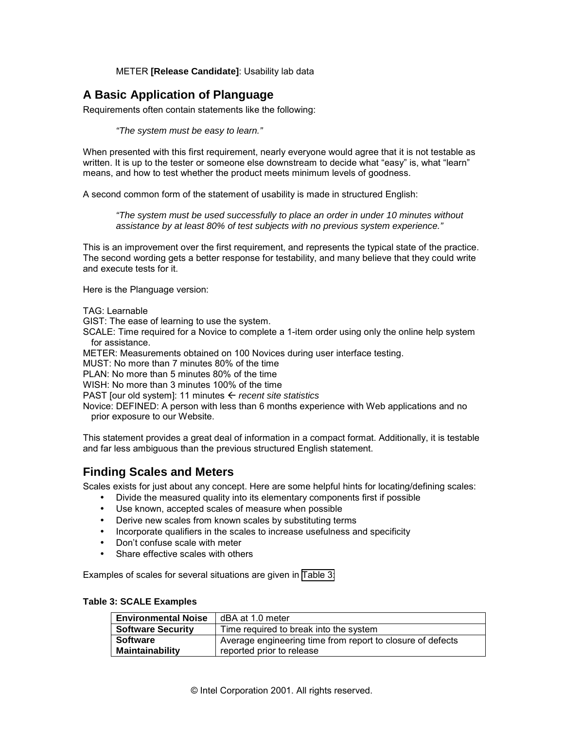### METER **[Release Candidate]**: Usability lab data

# **A Basic Application of Planguage**

Requirements often contain statements like the following:

*"The system must be easy to learn."* 

When presented with this first requirement, nearly everyone would agree that it is not testable as written. It is up to the tester or someone else downstream to decide what "easy" is, what "learn" means, and how to test whether the product meets minimum levels of goodness.

A second common form of the statement of usability is made in structured English:

*"The system must be used successfully to place an order in under 10 minutes without assistance by at least 80% of test subjects with no previous system experience."* 

This is an improvement over the first requirement, and represents the typical state of the practice. The second wording gets a better response for testability, and many believe that they could write and execute tests for it.

Here is the Planguage version:

TAG: Learnable

GIST: The ease of learning to use the system.

SCALE: Time required for a Novice to complete a 1-item order using only the online help system for assistance.

METER: Measurements obtained on 100 Novices during user interface testing.

MUST: No more than 7 minutes 80% of the time

PLAN: No more than 5 minutes 80% of the time

WISH: No more than 3 minutes 100% of the time

PAST [our old system]: 11 minutes *recent site statistics* 

Novice: DEFINED: A person with less than 6 months experience with Web applications and no prior exposure to our Website.

This statement provides a great deal of information in a compact format. Additionally, it is testable and far less ambiguous than the previous structured English statement.

### **Finding Scales and Meters**

Scales exists for just about any concept. Here are some helpful hints for locating/defining scales:

- Divide the measured quality into its elementary components first if possible
- Use known, accepted scales of measure when possible
- Derive new scales from known scales by substituting terms
- Incorporate qualifiers in the scales to increase usefulness and specificity
- Don't confuse scale with meter
- Share effective scales with others

Examples of scales for several situations are given in Table 3:

#### **Table 3: SCALE Examples**

| <b>Environmental Noise</b> | dBA at 1.0 meter                                           |
|----------------------------|------------------------------------------------------------|
| <b>Software Security</b>   | Time required to break into the system                     |
| <b>Software</b>            | Average engineering time from report to closure of defects |
| Maintainability            | reported prior to release                                  |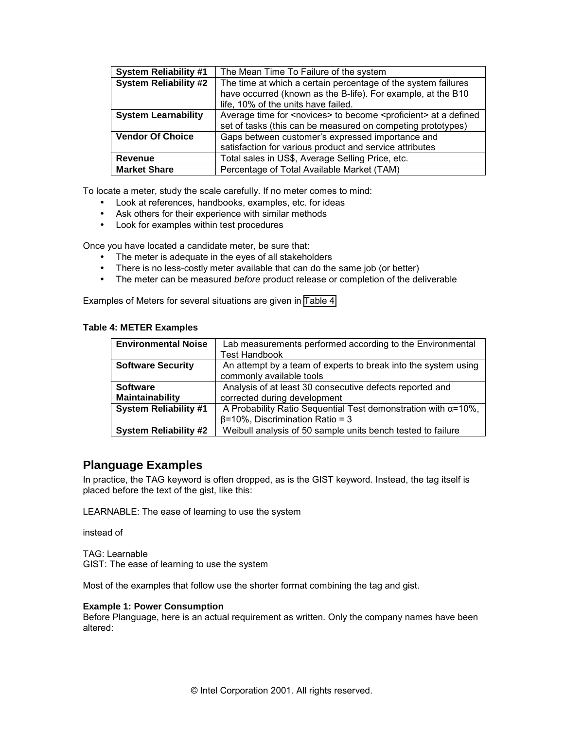| <b>System Reliability #1</b> | The Mean Time To Failure of the system                                                |
|------------------------------|---------------------------------------------------------------------------------------|
| <b>System Reliability #2</b> | The time at which a certain percentage of the system failures                         |
|                              | have occurred (known as the B-life). For example, at the B10                          |
|                              | life, 10% of the units have failed.                                                   |
| <b>System Learnability</b>   | Average time for <novices> to become <proficient> at a defined</proficient></novices> |
|                              | set of tasks (this can be measured on competing prototypes)                           |
| <b>Vendor Of Choice</b>      | Gaps between customer's expressed importance and                                      |
|                              | satisfaction for various product and service attributes                               |
| <b>Revenue</b>               | Total sales in US\$, Average Selling Price, etc.                                      |
| <b>Market Share</b>          | Percentage of Total Available Market (TAM)                                            |

To locate a meter, study the scale carefully. If no meter comes to mind:

- Look at references, handbooks, examples, etc. for ideas
- Ask others for their experience with similar methods
- Look for examples within test procedures

Once you have located a candidate meter, be sure that:

- The meter is adequate in the eyes of all stakeholders
- There is no less-costly meter available that can do the same job (or better)
- The meter can be measured *before* product release or completion of the deliverable

Examples of Meters for several situations are given in Table 4:

|  | <b>Table 4: METER Examples</b> |  |
|--|--------------------------------|--|
|  |                                |  |

| <b>Environmental Noise</b>   | Lab measurements performed according to the Environmental             |  |
|------------------------------|-----------------------------------------------------------------------|--|
|                              | <b>Test Handbook</b>                                                  |  |
| <b>Software Security</b>     | An attempt by a team of experts to break into the system using        |  |
|                              | commonly available tools                                              |  |
| <b>Software</b>              | Analysis of at least 30 consecutive defects reported and              |  |
| Maintainability              | corrected during development                                          |  |
| <b>System Reliability #1</b> | A Probability Ratio Sequential Test demonstration with $\alpha$ =10%, |  |
|                              | $\beta$ =10%, Discrimination Ratio = 3                                |  |
| <b>System Reliability #2</b> | Weibull analysis of 50 sample units bench tested to failure           |  |

### **Planguage Examples**

In practice, the TAG keyword is often dropped, as is the GIST keyword. Instead, the tag itself is placed before the text of the gist, like this:

LEARNABLE: The ease of learning to use the system

instead of

TAG: Learnable GIST: The ease of learning to use the system

Most of the examples that follow use the shorter format combining the tag and gist.

#### **Example 1: Power Consumption**

Before Planguage, here is an actual requirement as written. Only the company names have been altered: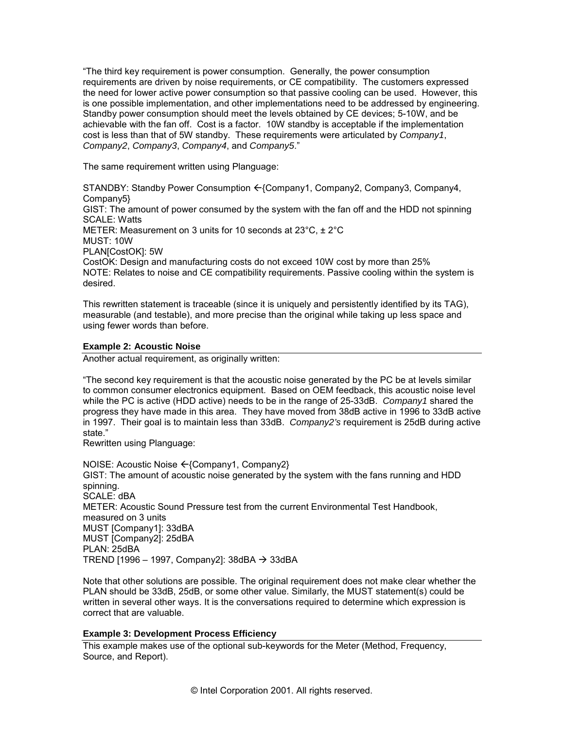ìThe third key requirement is power consumption. Generally, the power consumption requirements are driven by noise requirements, or CE compatibility. The customers expressed the need for lower active power consumption so that passive cooling can be used. However, this is one possible implementation, and other implementations need to be addressed by engineering. Standby power consumption should meet the levels obtained by CE devices; 5-10W, and be achievable with the fan off. Cost is a factor. 10W standby is acceptable if the implementation cost is less than that of 5W standby. These requirements were articulated by *Company1*, *Company2*, *Company3*, *Company4*, and *Company5*.î

The same requirement written using Planguage:

STANDBY: Standby Power Consumption  $\leftarrow$  {Company1, Company2, Company3, Company4, Company5} GIST: The amount of power consumed by the system with the fan off and the HDD not spinning SCALE: Watts METER: Measurement on 3 units for 10 seconds at 23°C, ± 2°C MUST: 10W PLAN[CostOK]: 5W CostOK: Design and manufacturing costs do not exceed 10W cost by more than 25% NOTE: Relates to noise and CE compatibility requirements. Passive cooling within the system is desired.

This rewritten statement is traceable (since it is uniquely and persistently identified by its TAG), measurable (and testable), and more precise than the original while taking up less space and using fewer words than before.

#### **Example 2: Acoustic Noise**

Another actual requirement, as originally written:

ìThe second key requirement is that the acoustic noise generated by the PC be at levels similar to common consumer electronics equipment. Based on OEM feedback, this acoustic noise level while the PC is active (HDD active) needs to be in the range of 25-33dB. *Company1* shared the progress they have made in this area. They have moved from 38dB active in 1996 to 33dB active in 1997. Their goal is to maintain less than 33dB. *Company2's* requirement is 25dB during active state."

Rewritten using Planguage:

NOISE: Acoustic Noise ← {Company1, Company2} GIST: The amount of acoustic noise generated by the system with the fans running and HDD spinning. SCALE: dBA METER: Acoustic Sound Pressure test from the current Environmental Test Handbook, measured on 3 units MUST [Company1]: 33dBA MUST [Company2]: 25dBA PLAN: 25dBA TREND [1996 - 1997, Company2]:  $38$ dBA  $\rightarrow$   $33$ dBA

Note that other solutions are possible. The original requirement does not make clear whether the PLAN should be 33dB, 25dB, or some other value. Similarly, the MUST statement(s) could be written in several other ways. It is the conversations required to determine which expression is correct that are valuable.

#### **Example 3: Development Process Efficiency**

This example makes use of the optional sub-keywords for the Meter (Method, Frequency, Source, and Report).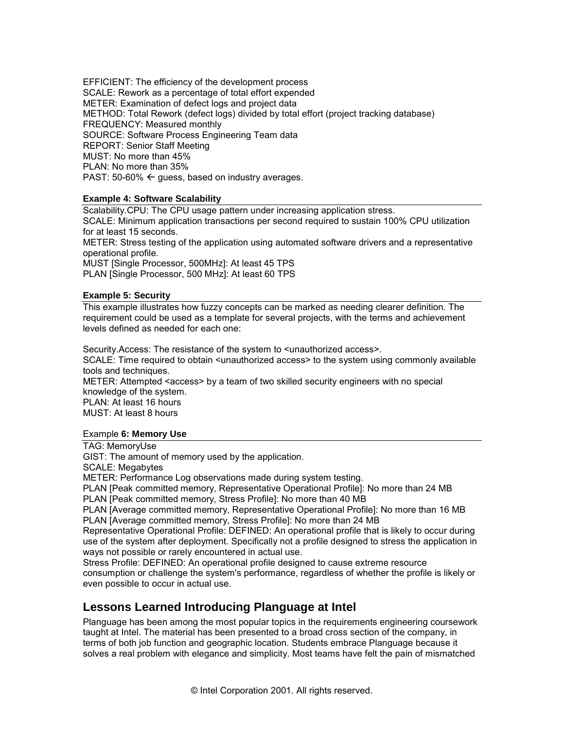EFFICIENT: The efficiency of the development process SCALE: Rework as a percentage of total effort expended METER: Examination of defect logs and project data METHOD: Total Rework (defect logs) divided by total effort (project tracking database) FREQUENCY: Measured monthly SOURCE: Software Process Engineering Team data REPORT: Senior Staff Meeting MUST: No more than 45% PLAN: No more than 35% PAST: 50-60%  $\leftarrow$  guess, based on industry averages.

#### **Example 4: Software Scalability**

Scalability.CPU: The CPU usage pattern under increasing application stress.

SCALE: Minimum application transactions per second required to sustain 100% CPU utilization for at least 15 seconds.

METER: Stress testing of the application using automated software drivers and a representative operational profile.

MUST [Single Processor, 500MHz]: At least 45 TPS PLAN [Single Processor, 500 MHz]: At least 60 TPS

#### **Example 5: Security**

This example illustrates how fuzzy concepts can be marked as needing clearer definition. The requirement could be used as a template for several projects, with the terms and achievement levels defined as needed for each one:

Security.Access: The resistance of the system to <unauthorized access>.

SCALE: Time required to obtain <unauthorized access> to the system using commonly available tools and techniques.

METER: Attempted <access> by a team of two skilled security engineers with no special knowledge of the system.

PLAN: At least 16 hours MUST: At least 8 hours

#### Example **6: Memory Use**

TAG: MemoryUse

GIST: The amount of memory used by the application.

SCALE: Megabytes

METER: Performance Log observations made during system testing.

PLAN [Peak committed memory, Representative Operational Profile]: No more than 24 MB

PLAN [Peak committed memory, Stress Profile]: No more than 40 MB

PLAN [Average committed memory, Representative Operational Profile]: No more than 16 MB PLAN [Average committed memory, Stress Profile]: No more than 24 MB

Representative Operational Profile: DEFINED: An operational profile that is likely to occur during use of the system after deployment. Specifically not a profile designed to stress the application in ways not possible or rarely encountered in actual use.

Stress Profile: DEFINED: An operational profile designed to cause extreme resource consumption or challenge the system's performance, regardless of whether the profile is likely or even possible to occur in actual use.

# **Lessons Learned Introducing Planguage at Intel**

Planguage has been among the most popular topics in the requirements engineering coursework taught at Intel. The material has been presented to a broad cross section of the company, in terms of both job function and geographic location. Students embrace Planguage because it solves a real problem with elegance and simplicity. Most teams have felt the pain of mismatched